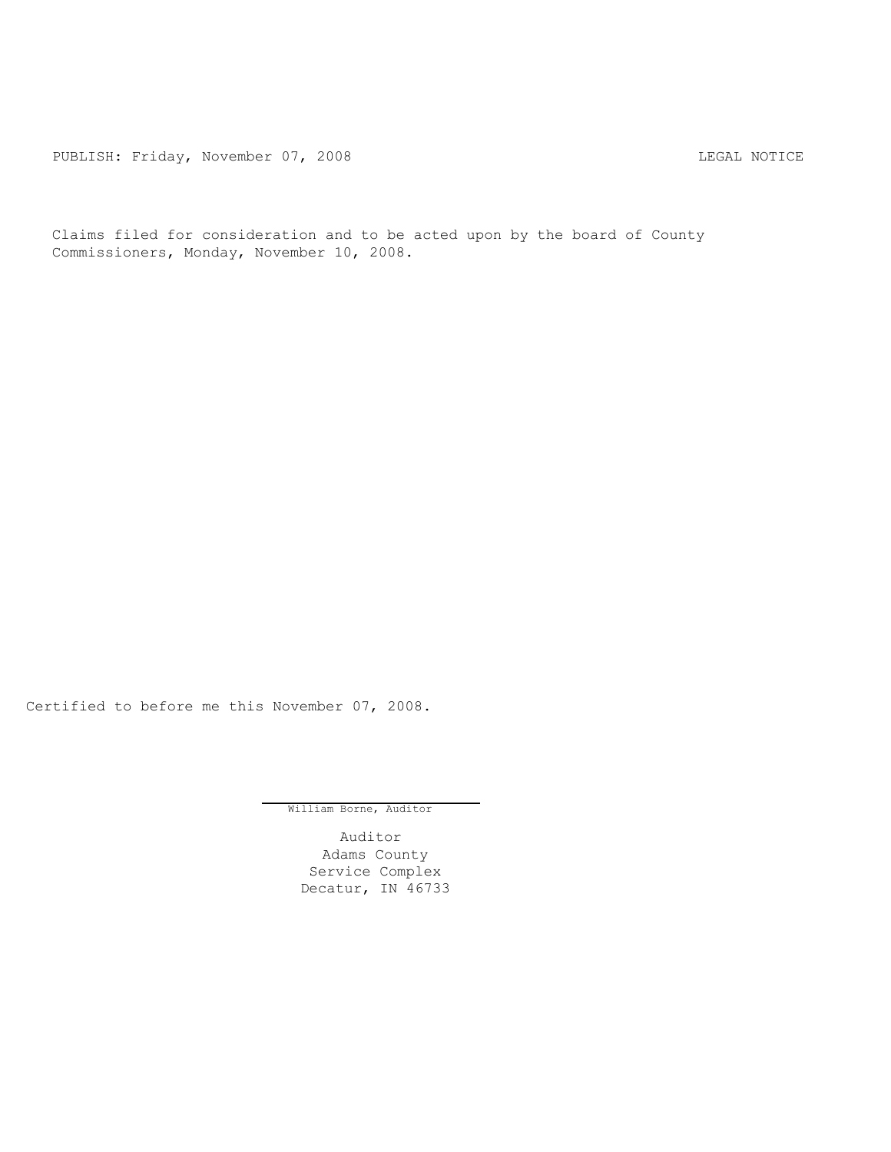PUBLISH: Friday, November 07, 2008 LEGAL NOTICE

Claims filed for consideration and to be acted upon by the board of County Commissioners, Monday, November 10, 2008.

Certified to before me this November 07, 2008.

William Borne, Auditor

Auditor Adams County Service Complex Decatur, IN 46733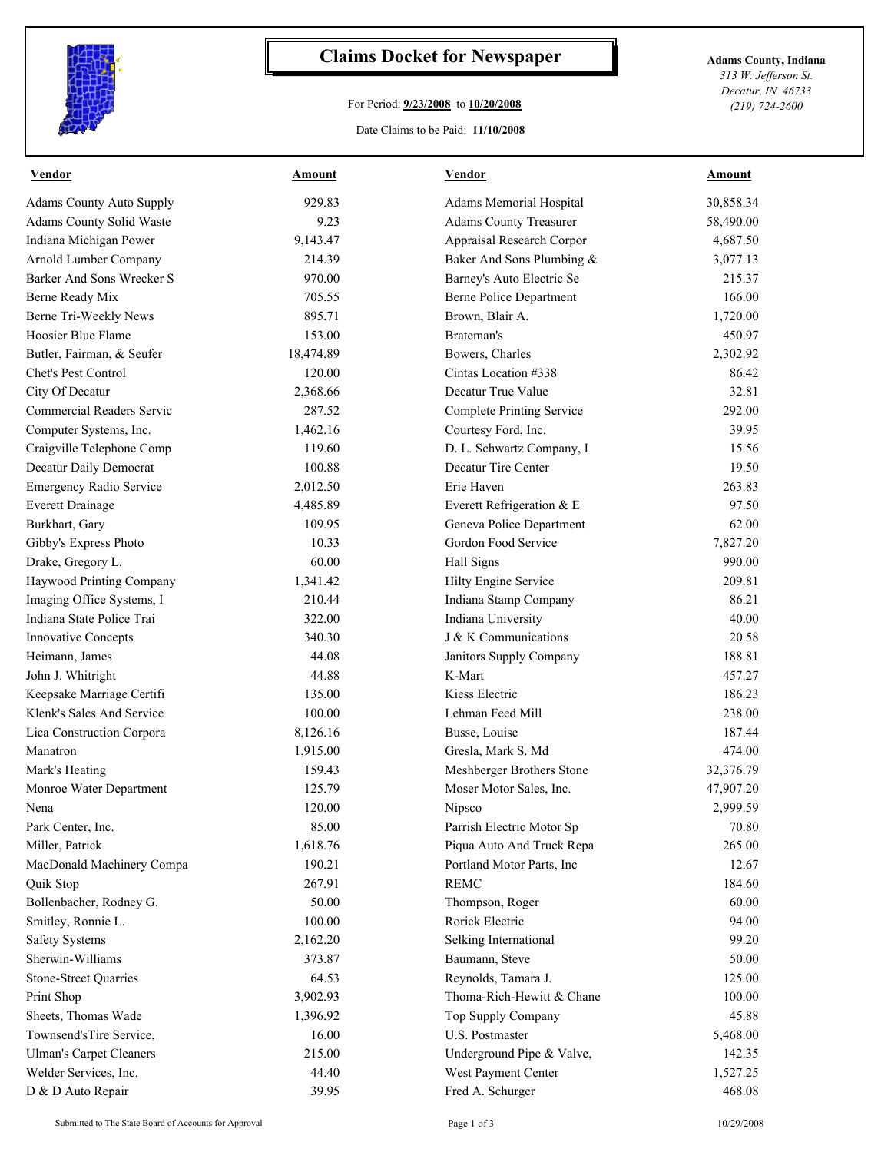

## **Claims Docket for Newspaper Adams County, Indiana**

## For Period: **9/23/2008** to **10/20/2008**

*313 W. Jefferson St. Decatur, IN 46733 (219) 724-2600*

Date Claims to be Paid: **11/10/2008**

| <b>Vendor</b>                   | <b>Amount</b> | <b>Vendor</b>                  | <b>Amount</b> |
|---------------------------------|---------------|--------------------------------|---------------|
| <b>Adams County Auto Supply</b> | 929.83        | Adams Memorial Hospital        | 30,858.34     |
| Adams County Solid Waste        | 9.23          | <b>Adams County Treasurer</b>  | 58,490.00     |
| Indiana Michigan Power          | 9,143.47      | Appraisal Research Corpor      | 4,687.50      |
| Arnold Lumber Company           | 214.39        | Baker And Sons Plumbing &      | 3,077.13      |
| Barker And Sons Wrecker S       | 970.00        | Barney's Auto Electric Se      | 215.37        |
| Berne Ready Mix                 | 705.55        | <b>Berne Police Department</b> | 166.00        |
| Berne Tri-Weekly News           | 895.71        | Brown, Blair A.                | 1,720.00      |
| Hoosier Blue Flame              | 153.00        | Brateman's                     | 450.97        |
| Butler, Fairman, & Seufer       | 18,474.89     | Bowers, Charles                | 2,302.92      |
| Chet's Pest Control             | 120.00        | Cintas Location #338           | 86.42         |
| City Of Decatur                 | 2,368.66      | Decatur True Value             | 32.81         |
| Commercial Readers Servic       | 287.52        | Complete Printing Service      | 292.00        |
| Computer Systems, Inc.          | 1,462.16      | Courtesy Ford, Inc.            | 39.95         |
| Craigville Telephone Comp       | 119.60        | D. L. Schwartz Company, I      | 15.56         |
| Decatur Daily Democrat          | 100.88        | Decatur Tire Center            | 19.50         |
| Emergency Radio Service         | 2,012.50      | Erie Haven                     | 263.83        |
| <b>Everett Drainage</b>         | 4,485.89      | Everett Refrigeration & E      | 97.50         |
| Burkhart, Gary                  | 109.95        | Geneva Police Department       | 62.00         |
| Gibby's Express Photo           | 10.33         | Gordon Food Service            | 7,827.20      |
| Drake, Gregory L.               | 60.00         | Hall Signs                     | 990.00        |
| Haywood Printing Company        | 1,341.42      | Hilty Engine Service           | 209.81        |
| Imaging Office Systems, I       | 210.44        | Indiana Stamp Company          | 86.21         |
| Indiana State Police Trai       | 322.00        | Indiana University             | 40.00         |
| Innovative Concepts             | 340.30        | J & K Communications           | 20.58         |
| Heimann, James                  | 44.08         | Janitors Supply Company        | 188.81        |
| John J. Whitright               | 44.88         | K-Mart                         | 457.27        |
| Keepsake Marriage Certifi       | 135.00        | Kiess Electric                 | 186.23        |
| Klenk's Sales And Service       | 100.00        | Lehman Feed Mill               | 238.00        |
| Lica Construction Corpora       | 8,126.16      | Busse, Louise                  | 187.44        |
| Manatron                        | 1,915.00      | Gresla, Mark S. Md             | 474.00        |
| Mark's Heating                  | 159.43        | Meshberger Brothers Stone      | 32,376.79     |
| Monroe Water Department         | 125.79        | Moser Motor Sales, Inc.        | 47,907.20     |
| Nena                            | 120.00        | Nipsco                         | 2,999.59      |
| Park Center, Inc.               | 85.00         | Parrish Electric Motor Sp      | 70.80         |
| Miller, Patrick                 | 1,618.76      | Piqua Auto And Truck Repa      | 265.00        |
| MacDonald Machinery Compa       | 190.21        | Portland Motor Parts, Inc      | 12.67         |
| Quik Stop                       | 267.91        | <b>REMC</b>                    | 184.60        |
| Bollenbacher, Rodney G.         | 50.00         | Thompson, Roger                | 60.00         |
| Smitley, Ronnie L.              | 100.00        | Rorick Electric                | 94.00         |
| <b>Safety Systems</b>           | 2,162.20      | Selking International          | 99.20         |
| Sherwin-Williams                | 373.87        | Baumann, Steve                 | 50.00         |
| <b>Stone-Street Quarries</b>    | 64.53         | Reynolds, Tamara J.            | 125.00        |
| Print Shop                      | 3,902.93      | Thoma-Rich-Hewitt & Chane      | 100.00        |
| Sheets, Thomas Wade             | 1,396.92      | Top Supply Company             | 45.88         |
| Townsend'sTire Service,         | 16.00         | U.S. Postmaster                | 5,468.00      |
| <b>Ulman's Carpet Cleaners</b>  | 215.00        | Underground Pipe & Valve,      | 142.35        |
| Welder Services, Inc.           | 44.40         | West Payment Center            | 1,527.25      |
| D & D Auto Repair               | 39.95         | Fred A. Schurger               | 468.08        |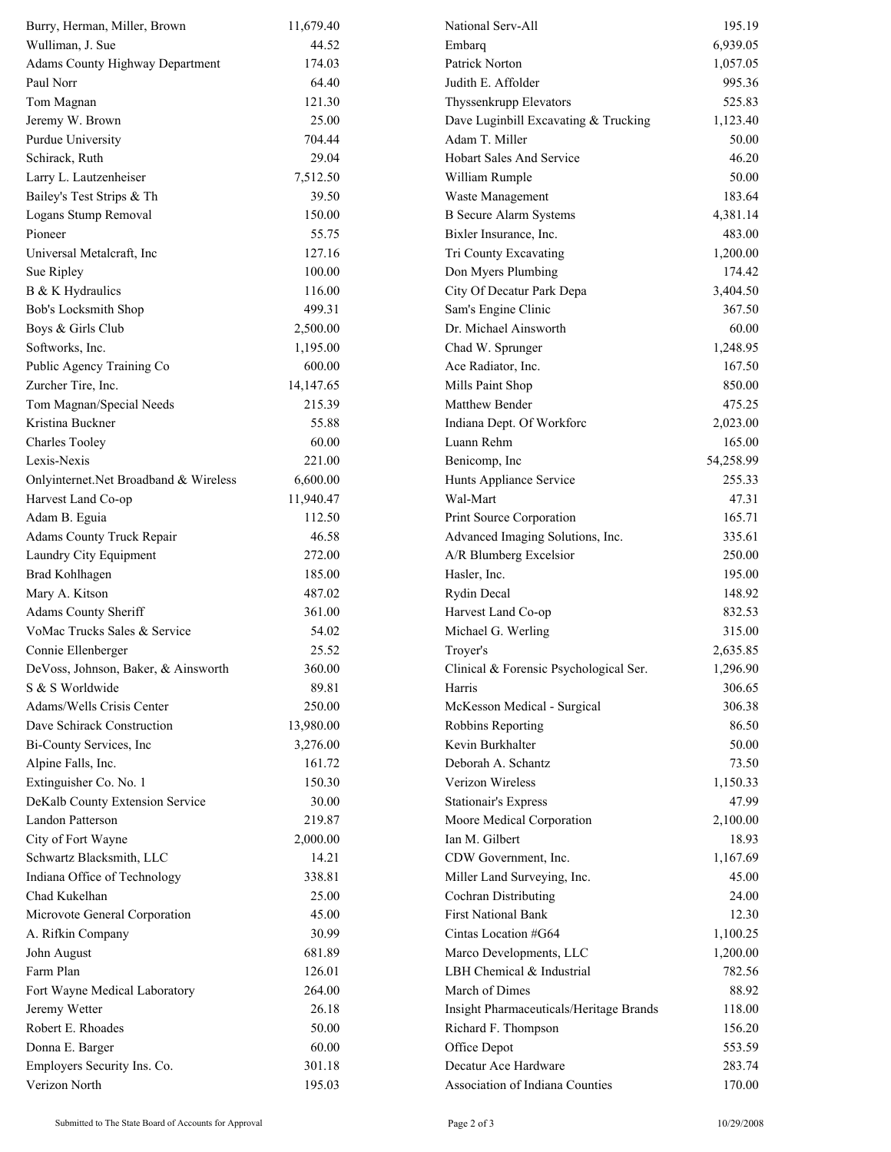| Burry, Herman, Miller, Brown           | 11,679.40 | National Serv-All                       | 195.19    |
|----------------------------------------|-----------|-----------------------------------------|-----------|
| Wulliman, J. Sue                       | 44.52     | Embarq                                  | 6,939.05  |
| <b>Adams County Highway Department</b> | 174.03    | Patrick Norton                          | 1,057.05  |
| Paul Norr                              | 64.40     | Judith E. Affolder                      | 995.36    |
| Tom Magnan                             | 121.30    | Thyssenkrupp Elevators                  | 525.83    |
| Jeremy W. Brown                        | 25.00     | Dave Luginbill Excavating & Trucking    | 1,123.40  |
| Purdue University                      | 704.44    | Adam T. Miller                          | 50.00     |
| Schirack, Ruth                         | 29.04     | <b>Hobart Sales And Service</b>         | 46.20     |
| Larry L. Lautzenheiser                 | 7,512.50  | William Rumple                          | 50.00     |
| Bailey's Test Strips & Th              | 39.50     | Waste Management                        | 183.64    |
| Logans Stump Removal                   | 150.00    | <b>B</b> Secure Alarm Systems           | 4,381.14  |
| Pioneer                                | 55.75     | Bixler Insurance, Inc.                  | 483.00    |
| Universal Metalcraft, Inc              | 127.16    | Tri County Excavating                   | 1,200.00  |
| Sue Ripley                             | 100.00    | Don Myers Plumbing                      | 174.42    |
| B & K Hydraulics                       | 116.00    | City Of Decatur Park Depa               | 3,404.50  |
| Bob's Locksmith Shop                   | 499.31    | Sam's Engine Clinic                     | 367.50    |
| Boys & Girls Club                      | 2,500.00  | Dr. Michael Ainsworth                   | 60.00     |
| Softworks, Inc.                        | 1,195.00  | Chad W. Sprunger                        | 1,248.95  |
| Public Agency Training Co              | 600.00    | Ace Radiator, Inc.                      | 167.50    |
| Zurcher Tire, Inc.                     | 14,147.65 | Mills Paint Shop                        | 850.00    |
| Tom Magnan/Special Needs               | 215.39    | <b>Matthew Bender</b>                   | 475.25    |
| Kristina Buckner                       | 55.88     | Indiana Dept. Of Workforc               | 2,023.00  |
| <b>Charles Tooley</b>                  | 60.00     | Luann Rehm                              | 165.00    |
| Lexis-Nexis                            | 221.00    | Benicomp, Inc                           | 54,258.99 |
| Onlyinternet.Net Broadband & Wireless  | 6,600.00  | Hunts Appliance Service                 | 255.33    |
| Harvest Land Co-op                     | 11,940.47 | Wal-Mart                                | 47.31     |
| Adam B. Eguia                          | 112.50    | Print Source Corporation                | 165.71    |
| <b>Adams County Truck Repair</b>       | 46.58     | Advanced Imaging Solutions, Inc.        | 335.61    |
| Laundry City Equipment                 | 272.00    | A/R Blumberg Excelsior                  | 250.00    |
| Brad Kohlhagen                         | 185.00    | Hasler, Inc.                            | 195.00    |
| Mary A. Kitson                         | 487.02    | Rydin Decal                             | 148.92    |
| <b>Adams County Sheriff</b>            | 361.00    | Harvest Land Co-op                      | 832.53    |
| VoMac Trucks Sales & Service           | 54.02     | Michael G. Werling                      | 315.00    |
| Connie Ellenberger                     | 25.52     | Troyer's                                | 2,635.85  |
| DeVoss, Johnson, Baker, & Ainsworth    | 360.00    | Clinical & Forensic Psychological Ser.  | 1,296.90  |
| S & S Worldwide                        | 89.81     | Harris                                  | 306.65    |
| Adams/Wells Crisis Center              | 250.00    | McKesson Medical - Surgical             | 306.38    |
| Dave Schirack Construction             | 13,980.00 | Robbins Reporting                       | 86.50     |
| Bi-County Services, Inc                | 3,276.00  | Kevin Burkhalter                        | 50.00     |
| Alpine Falls, Inc.                     | 161.72    | Deborah A. Schantz                      | 73.50     |
| Extinguisher Co. No. 1                 | 150.30    | Verizon Wireless                        | 1,150.33  |
| DeKalb County Extension Service        | 30.00     | <b>Stationair's Express</b>             | 47.99     |
| Landon Patterson                       | 219.87    | Moore Medical Corporation               | 2,100.00  |
| City of Fort Wayne                     | 2,000.00  | Ian M. Gilbert                          | 18.93     |
| Schwartz Blacksmith, LLC               | 14.21     | CDW Government, Inc.                    | 1,167.69  |
| Indiana Office of Technology           | 338.81    | Miller Land Surveying, Inc.             | 45.00     |
| Chad Kukelhan                          | 25.00     | Cochran Distributing                    | 24.00     |
| Microvote General Corporation          | 45.00     | <b>First National Bank</b>              | 12.30     |
| A. Rifkin Company                      | 30.99     | Cintas Location #G64                    | 1,100.25  |
| John August                            | 681.89    | Marco Developments, LLC                 | 1,200.00  |
| Farm Plan                              | 126.01    | LBH Chemical & Industrial               | 782.56    |
| Fort Wayne Medical Laboratory          | 264.00    | March of Dimes                          | 88.92     |
| Jeremy Wetter                          | 26.18     | Insight Pharmaceuticals/Heritage Brands | 118.00    |
| Robert E. Rhoades                      | 50.00     | Richard F. Thompson                     | 156.20    |
| Donna E. Barger                        | 60.00     | Office Depot                            | 553.59    |
| Employers Security Ins. Co.            | 301.18    | Decatur Ace Hardware                    | 283.74    |
| Verizon North                          | 195.03    | Association of Indiana Counties         | 170.00    |